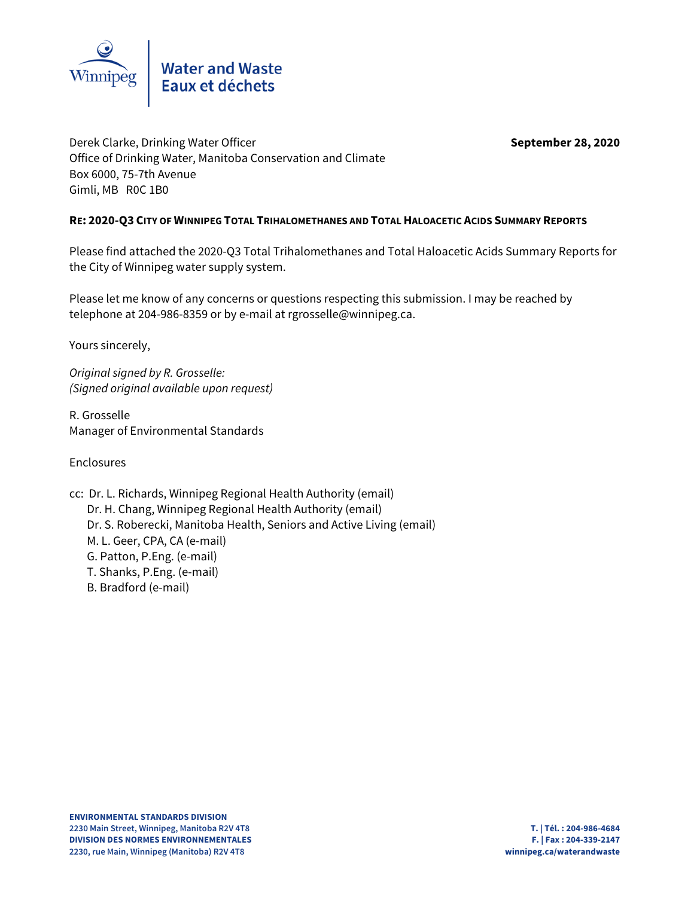

Derek Clarke, Drinking Water Officer **September 28, 2020** Office of Drinking Water, Manitoba Conservation and Climate Box 6000, 75-7th Avenue Gimli, MB R0C 1B0

### **RE: 2020-Q3 CITY OF WINNIPEG TOTAL TRIHALOMETHANES AND TOTAL HALOACETIC ACIDS SUMMARY REPORTS**

Please find attached the 2020-Q3 Total Trihalomethanes and Total Haloacetic Acids Summary Reports for the City of Winnipeg water supply system.

Please let me know of any concerns or questions respecting this submission. I may be reached by telephone at 204-986-8359 or by e-mail at rgrosselle@winnipeg.ca.

Yours sincerely,

Original signed by R. Grosselle: (Signed original available upon request)

R. Grosselle Manager of Environmental Standards

Enclosures

- cc: Dr. L. Richards, Winnipeg Regional Health Authority (email) Dr. H. Chang, Winnipeg Regional Health Authority (email) Dr. S. Roberecki, Manitoba Health, Seniors and Active Living (email) M. L. Geer, CPA, CA (e-mail) G. Patton, P.Eng. (e-mail)
	- T. Shanks, P.Eng. (e-mail)
	- B. Bradford (e-mail)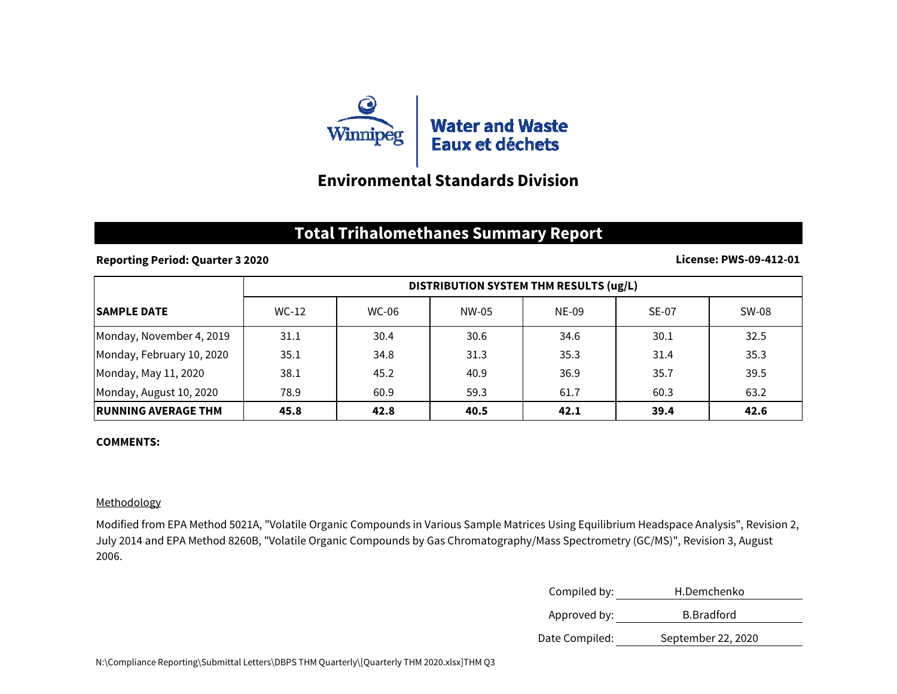

## **Environmental Standards Division**

## **Total Trihalomethanes Summary Report**

### **Reporting Period: Quarter 3 2020**

#### **License: PWS-09-412-01**

|                            | DISTRIBUTION SYSTEM THM RESULTS (ug/L) |       |       |       |       |       |
|----------------------------|----------------------------------------|-------|-------|-------|-------|-------|
| <b>ISAMPLE DATE</b>        | WC-12                                  | WC-06 | NW-05 | NE-09 | SE-07 | SW-08 |
| Monday, November 4, 2019   | 31.1                                   | 30.4  | 30.6  | 34.6  | 30.1  | 32.5  |
| Monday, February 10, 2020  | 35.1                                   | 34.8  | 31.3  | 35.3  | 31.4  | 35.3  |
| Monday, May 11, 2020       | 38.1                                   | 45.2  | 40.9  | 36.9  | 35.7  | 39.5  |
| Monday, August 10, 2020    | 78.9                                   | 60.9  | 59.3  | 61.7  | 60.3  | 63.2  |
| <b>RUNNING AVERAGE THM</b> | 45.8                                   | 42.8  | 40.5  | 42.1  | 39.4  | 42.6  |

#### **COMMENTS:**

### Methodology

Modified from EPA Method 5021A, "Volatile Organic Compounds in Various Sample Matrices Using Equilibrium Headspace Analysis", Revision 2, July 2014 and EPA Method 8260B, "Volatile Organic Compounds by Gas Chromatography/Mass Spectrometry (GC/MS)", Revision 3, August 2006.

| Compiled by:   | H.Demchenko        |  |
|----------------|--------------------|--|
| Approved by:   | <b>B.</b> Bradford |  |
| Date Compiled: | September 22, 2020 |  |